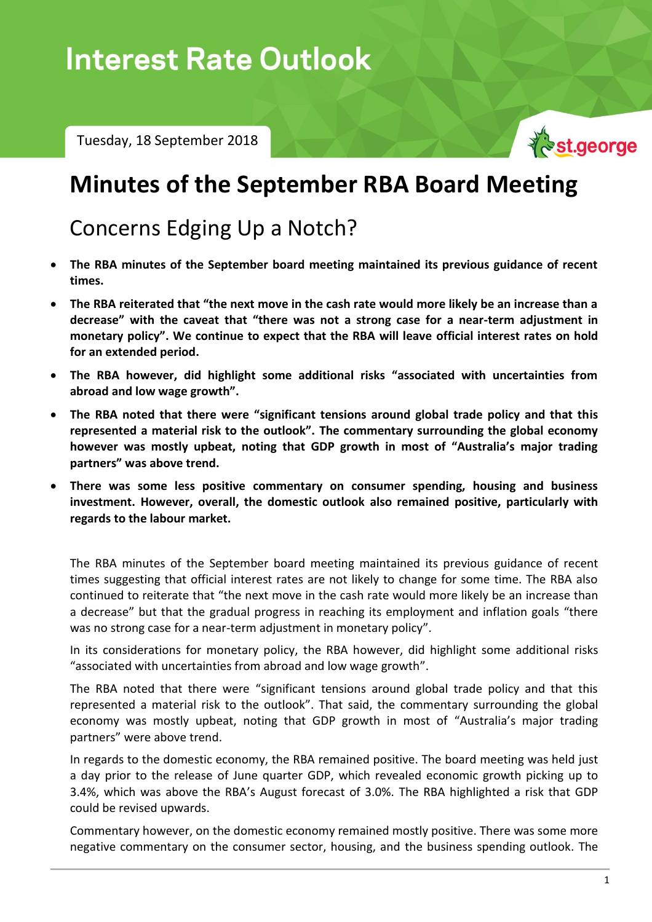# **Interest Rate Outlook**

Tuesday, 18 September 2018



## **Minutes of the September RBA Board Meeting**

## Concerns Edging Up a Notch?

- **The RBA minutes of the September board meeting maintained its previous guidance of recent times.**
- **The RBA reiterated that "the next move in the cash rate would more likely be an increase than a decrease" with the caveat that "there was not a strong case for a near-term adjustment in monetary policy". We continue to expect that the RBA will leave official interest rates on hold for an extended period.**
- **The RBA however, did highlight some additional risks "associated with uncertainties from abroad and low wage growth".**
- **The RBA noted that there were "significant tensions around global trade policy and that this represented a material risk to the outlook". The commentary surrounding the global economy however was mostly upbeat, noting that GDP growth in most of "Australia's major trading partners" was above trend.**
- **There was some less positive commentary on consumer spending, housing and business investment. However, overall, the domestic outlook also remained positive, particularly with regards to the labour market.**

The RBA minutes of the September board meeting maintained its previous guidance of recent times suggesting that official interest rates are not likely to change for some time. The RBA also continued to reiterate that "the next move in the cash rate would more likely be an increase than a decrease" but that the gradual progress in reaching its employment and inflation goals "there was no strong case for a near-term adjustment in monetary policy".

In its considerations for monetary policy, the RBA however, did highlight some additional risks "associated with uncertainties from abroad and low wage growth".

The RBA noted that there were "significant tensions around global trade policy and that this represented a material risk to the outlook". That said, the commentary surrounding the global economy was mostly upbeat, noting that GDP growth in most of "Australia's major trading partners" were above trend.

In regards to the domestic economy, the RBA remained positive. The board meeting was held just a day prior to the release of June quarter GDP, which revealed economic growth picking up to 3.4%, which was above the RBA's August forecast of 3.0%. The RBA highlighted a risk that GDP could be revised upwards.

Commentary however, on the domestic economy remained mostly positive. There was some more negative commentary on the consumer sector, housing, and the business spending outlook. The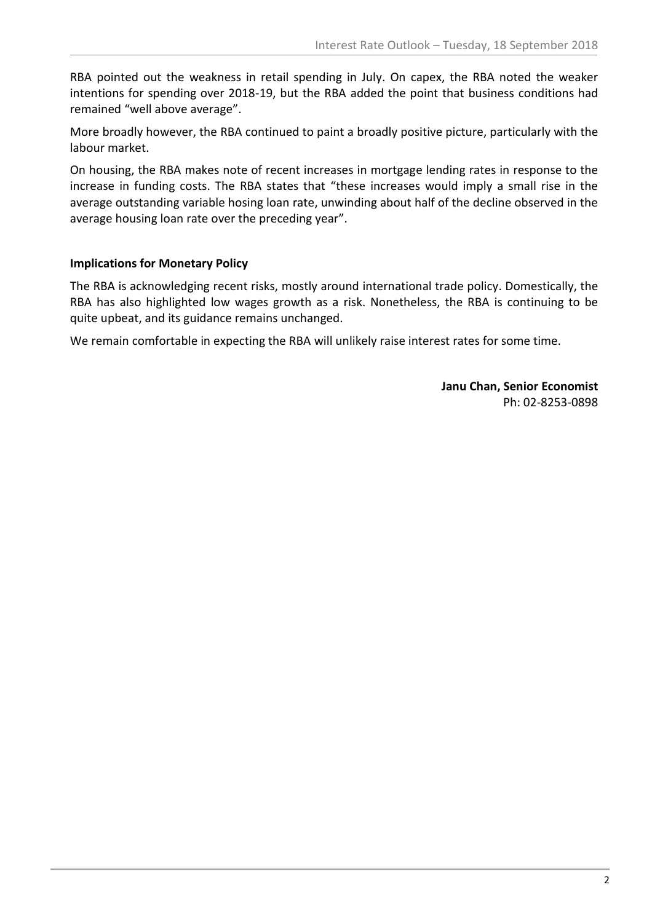RBA pointed out the weakness in retail spending in July. On capex, the RBA noted the weaker intentions for spending over 2018-19, but the RBA added the point that business conditions had remained "well above average".

More broadly however, the RBA continued to paint a broadly positive picture, particularly with the labour market.

On housing, the RBA makes note of recent increases in mortgage lending rates in response to the increase in funding costs. The RBA states that "these increases would imply a small rise in the average outstanding variable hosing loan rate, unwinding about half of the decline observed in the average housing loan rate over the preceding year".

### **Implications for Monetary Policy**

The RBA is acknowledging recent risks, mostly around international trade policy. Domestically, the RBA has also highlighted low wages growth as a risk. Nonetheless, the RBA is continuing to be quite upbeat, and its guidance remains unchanged.

We remain comfortable in expecting the RBA will unlikely raise interest rates for some time.

**Janu Chan, Senior Economist** Ph: 02-8253-0898